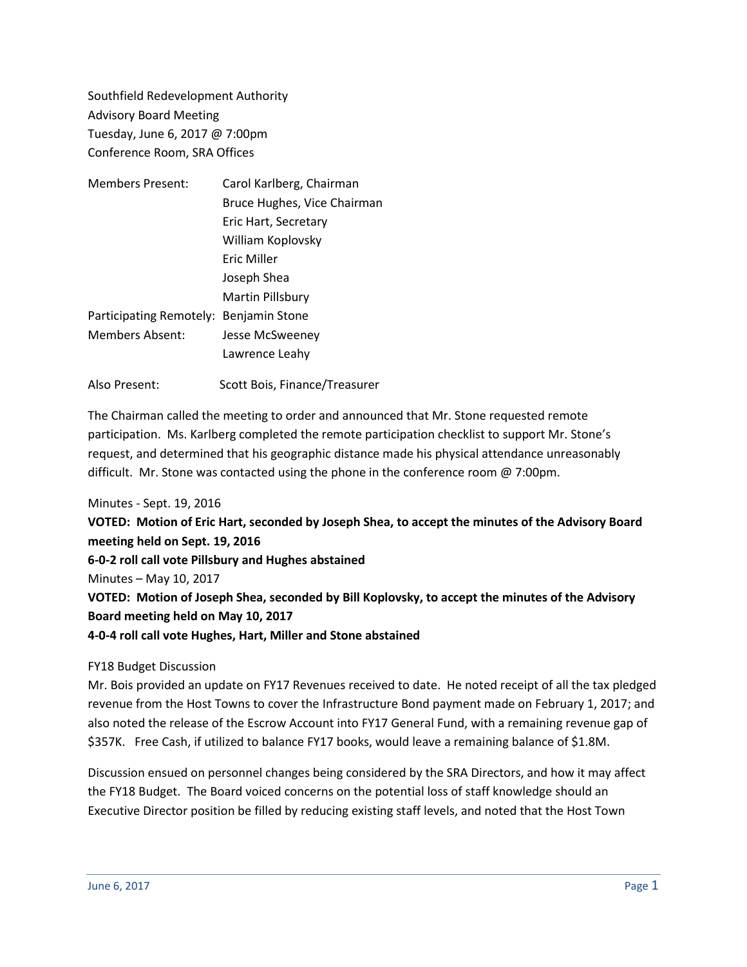Southfield Redevelopment Authority Advisory Board Meeting Tuesday, June 6, 2017 @ 7:00pm Conference Room, SRA Offices

| <b>Members Present:</b> | Carol Karlberg, Chairman      |
|-------------------------|-------------------------------|
|                         | Bruce Hughes, Vice Chairman   |
|                         | Eric Hart, Secretary          |
|                         | William Koplovsky             |
|                         | Eric Miller                   |
|                         | Joseph Shea                   |
|                         | Martin Pillsbury              |
| Participating Remotely: | Benjamin Stone                |
| <b>Members Absent:</b>  | Jesse McSweeney               |
|                         | Lawrence Leahy                |
| Also Present:           | Scott Bois, Finance/Treasurer |

The Chairman called the meeting to order and announced that Mr. Stone requested remote participation. Ms. Karlberg completed the remote participation checklist to support Mr. Stone's request, and determined that his geographic distance made his physical attendance unreasonably difficult. Mr. Stone was contacted using the phone in the conference room @ 7:00pm.

## Minutes - Sept. 19, 2016

**VOTED: Motion of Eric Hart, seconded by Joseph Shea, to accept the minutes of the Advisory Board meeting held on Sept. 19, 2016 6-0-2 roll call vote Pillsbury and Hughes abstained** Minutes – May 10, 2017 **VOTED: Motion of Joseph Shea, seconded by Bill Koplovsky, to accept the minutes of the Advisory Board meeting held on May 10, 2017 4-0-4 roll call vote Hughes, Hart, Miller and Stone abstained**

## FY18 Budget Discussion

Mr. Bois provided an update on FY17 Revenues received to date. He noted receipt of all the tax pledged revenue from the Host Towns to cover the Infrastructure Bond payment made on February 1, 2017; and also noted the release of the Escrow Account into FY17 General Fund, with a remaining revenue gap of \$357K. Free Cash, if utilized to balance FY17 books, would leave a remaining balance of \$1.8M.

Discussion ensued on personnel changes being considered by the SRA Directors, and how it may affect the FY18 Budget. The Board voiced concerns on the potential loss of staff knowledge should an Executive Director position be filled by reducing existing staff levels, and noted that the Host Town